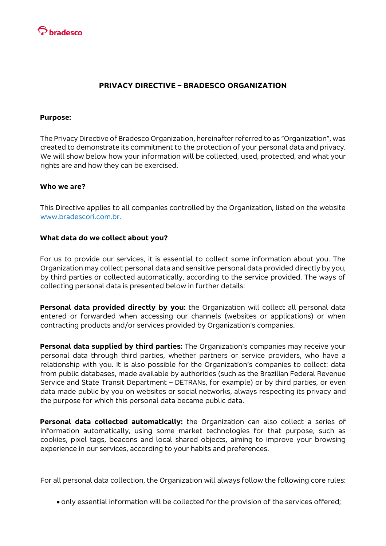

## **PRIVACY DIRECTIVE – BRADESCO ORGANIZATION**

#### **Purpose:**

The Privacy Directive of Bradesco Organization, hereinafter referred to as "Organization", was created to demonstrate its commitment to the protection of your personal data and privacy. We will show below how your information will be collected, used, protected, and what your rights are and how they can be exercised.

#### **Who we are?**

This Directive applies to all companies controlled by the Organization, listed on the websit[e](http://www.bradescori.com.br./) [www.bradescori.com.br.](http://www.bradescori.com.br./)

#### **What data do we collect about you?**

For us to provide our services, it is essential to collect some information about you. The Organization may collect personal data and sensitive personal data provided directly by you, by third parties or collected automatically, according to the service provided. The ways of collecting personal data is presented below in further details:

**Personal data provided directly by you:** the Organization will collect all personal data entered or forwarded when accessing our channels (websites or applications) or when contracting products and/or services provided by Organization's companies.

**Personal data supplied by third parties:** The Organization's companies may receive your personal data through third parties, whether partners or service providers, who have a relationship with you. It is also possible for the Organization's companies to collect: data from public databases, made available by authorities (such as the Brazilian Federal Revenue Service and State Transit Department – DETRANs, for example) or by third parties, or even data made public by you on websites or social networks, always respecting its privacy and the purpose for which this personal data became public data.

**Personal data collected automatically:** the Organization can also collect a series of information automatically, using some market technologies for that purpose, such as cookies, pixel tags, beacons and local shared objects, aiming to improve your browsing experience in our services, according to your habits and preferences.

For all personal data collection, the Organization will always follow the following core rules:

only essential information will be collected for the provision of the services offered;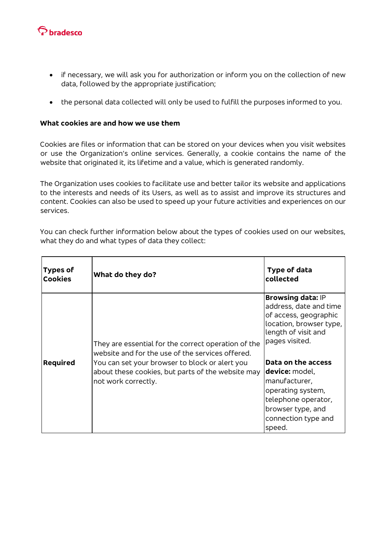

- if necessary, we will ask you for authorization or inform you on the collection of new data, followed by the appropriate justification;
- the personal data collected will only be used to fulfill the purposes informed to you.

## **What cookies are and how we use them**

Cookies are files or information that can be stored on your devices when you visit websites or use the Organization's online services. Generally, a cookie contains the name of the website that originated it, its lifetime and a value, which is generated randomly.

The Organization uses cookies to facilitate use and better tailor its website and applications to the interests and needs of its Users, as well as to assist and improve its structures and content. Cookies can also be used to speed up your future activities and experiences on our services.

You can check further information below about the types of cookies used on our websites, what they do and what types of data they collect:

| Types of<br><b>Cookies</b> | What do they do?                                                                                                                                                                                                                      | Type of data<br>collected                                                                                                                                                                                                                                                                                  |
|----------------------------|---------------------------------------------------------------------------------------------------------------------------------------------------------------------------------------------------------------------------------------|------------------------------------------------------------------------------------------------------------------------------------------------------------------------------------------------------------------------------------------------------------------------------------------------------------|
| <b>Required</b>            | They are essential for the correct operation of the<br>website and for the use of the services offered.<br>You can set your browser to block or alert you<br>about these cookies, but parts of the website may<br>not work correctly. | <b>Browsing data: IP</b><br>address, date and time<br>of access, geographic<br>location, browser type,<br>length of visit and<br>pages visited.<br>Data on the access<br>device: model,<br>manufacturer,<br>operating system,<br>telephone operator,<br>browser type, and<br>connection type and<br>speed. |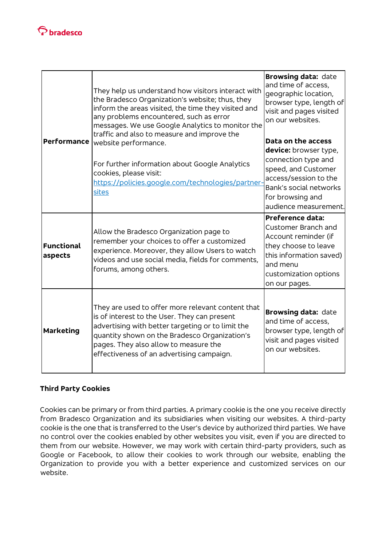

| <b>Performance</b>    | They help us understand how visitors interact with<br>the Bradesco Organization's website; thus, they<br>inform the areas visited, the time they visited and<br>any problems encountered, such as error<br>messages. We use Google Analytics to monitor the<br>traffic and also to measure and improve the<br>website performance.<br>For further information about Google Analytics<br>cookies, please visit:<br>https://policies.google.com/technologies/partner-<br>sites | <b>Browsing data: date</b><br>and time of access,<br>geographic location,<br>browser type, length of<br>visit and pages visited<br>on our websites.                                       |
|-----------------------|------------------------------------------------------------------------------------------------------------------------------------------------------------------------------------------------------------------------------------------------------------------------------------------------------------------------------------------------------------------------------------------------------------------------------------------------------------------------------|-------------------------------------------------------------------------------------------------------------------------------------------------------------------------------------------|
|                       |                                                                                                                                                                                                                                                                                                                                                                                                                                                                              | Data on the access<br>device: browser type,<br>connection type and<br>speed, and Customer<br>access/session to the<br>Bank's social networks<br>for browsing and<br>audience measurement. |
| Functional<br>aspects | Allow the Bradesco Organization page to<br>remember your choices to offer a customized<br>experience. Moreover, they allow Users to watch<br>videos and use social media, fields for comments,<br>forums, among others.                                                                                                                                                                                                                                                      | <b>Preference data:</b><br>Customer Branch and<br>Account reminder (if<br>they choose to leave<br>this information saved)<br>and menu<br>customization options<br>on our pages.           |
| <b>Marketing</b>      | They are used to offer more relevant content that<br>is of interest to the User. They can present<br>advertising with better targeting or to limit the<br>quantity shown on the Bradesco Organization's<br>pages. They also allow to measure the<br>effectiveness of an advertising campaign.                                                                                                                                                                                | <b>Browsing data: date</b><br>and time of access.<br>browser type, length of<br>visit and pages visited<br>on our websites.                                                               |

# **Third Party Cookies**

Cookies can be primary or from third parties. A primary cookie is the one you receive directly from Bradesco Organization and its subsidiaries when visiting our websites. A third-party cookie is the one that is transferred to the User's device by authorized third parties. We have no control over the cookies enabled by other websites you visit, even if you are directed to them from our website. However, we may work with certain third-party providers, such as Google or Facebook, to allow their cookies to work through our website, enabling the Organization to provide you with a better experience and customized services on our website.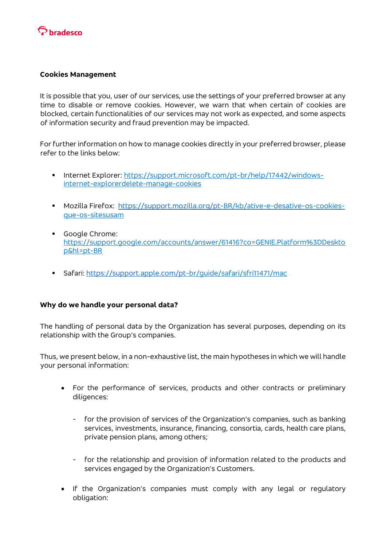

#### **Cookies Management**

It is possible that you, user of our services, use the settings of your preferred browser at any time to disable or remove cookies. However, we warn that when certain of cookies are blocked, certain functionalities of our services may not work as expected, and some aspects of information security and fraud prevention may be impacted.

For further information on how to manage cookies directly in your preferred browser, please refer to the links below:

- Internet Explorer: [https://support.microsoft.com/pt-br/help/17442/windows](https://support.microsoft.com/pt-br/help/17442/windows-internet-explorer-delete-manage-cookies)[internet-explorerdelete-manage-cookies](https://support.microsoft.com/pt-br/help/17442/windows-internet-explorer-delete-manage-cookies)
- Mozilla Firefox: [https://support.mozilla.org/pt-](https://support.mozilla.org/pt)[BR/kb/ative-e-desative-os-cookies](https://support.mozilla.org/pt-BR/kb/ative-e-desative-os-cookies-que-os-sites-usam)[que-os-sitesusam](https://support.mozilla.org/pt-BR/kb/ative-e-desative-os-cookies-que-os-sites-usam)
- Google Chrome[:](https://support.google.com/accounts/answer/61416?co=GENIE.Platform%3DDesktop&hl=pt-BR) [https://support.google.com/accounts/answer/61416?co=GENIE.Platform%3DDeskto](https://support.google.com/accounts/answer/61416?co=GENIE.Platform%3DDesktop&hl=pt-BR) [p&hl=pt-BR](https://support.google.com/accounts/answer/61416?co=GENIE.Platform%3DDesktop&hl=pt-BR)
- Safari: [https://support.apple.com/pt-](https://support.apple.com/pt)[br/guide/safari/sfri11471/mac](https://support.apple.com/pt-br/guide/safari/sfri11471/mac)

### **Why do we handle your personal data?**

The handling of personal data by the Organization has several purposes, depending on its relationship with the Group's companies.

Thus, we present below, in a non-exhaustive list, the main hypotheses in which we will handle your personal information:

- For the performance of services, products and other contracts or preliminary diligences:
	- for the provision of services of the Organization's companies, such as banking services, investments, insurance, financing, consortia, cards, health care plans, private pension plans, among others;
	- for the relationship and provision of information related to the products and services engaged by the Organization's Customers.
- If the Organization's companies must comply with any legal or regulatory obligation: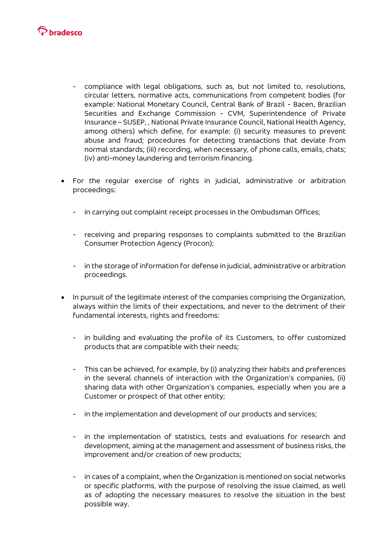

- compliance with legal obligations, such as, but not limited to, resolutions, circular letters, normative acts, communications from competent bodies (for example: National Monetary Council, Central Bank of Brazil - Bacen, Brazilian Securities and Exchange Commission - CVM, Superintendence of Private Insurance – SUSEP, , National Private Insurance Council, National Health Agency, among others) which define, for example: (i) security measures to prevent abuse and fraud; procedures for detecting transactions that deviate from normal standards; (iii) recording, when necessary, of phone calls, emails, chats; (iv) anti-money laundering and terrorism financing.
- For the regular exercise of rights in judicial, administrative or arbitration proceedings:
	- in carrying out complaint receipt processes in the Ombudsman Offices;
	- receiving and preparing responses to complaints submitted to the Brazilian Consumer Protection Agency (Procon);
	- in the storage of information for defense in judicial, administrative or arbitration proceedings.
- In pursuit of the legitimate interest of the companies comprising the Organization, always within the limits of their expectations, and never to the detriment of their fundamental interests, rights and freedoms:
	- in building and evaluating the profile of its Customers, to offer customized products that are compatible with their needs;
	- This can be achieved, for example, by (i) analyzing their habits and preferences in the several channels of interaction with the Organization's companies, (ii) sharing data with other Organization's companies, especially when you are a Customer or prospect of that other entity;
	- in the implementation and development of our products and services;
	- in the implementation of statistics, tests and evaluations for research and development, aiming at the management and assessment of business risks, the improvement and/or creation of new products;
	- in cases of a complaint, when the Organization is mentioned on social networks or specific platforms, with the purpose of resolving the issue claimed, as well as of adopting the necessary measures to resolve the situation in the best possible way.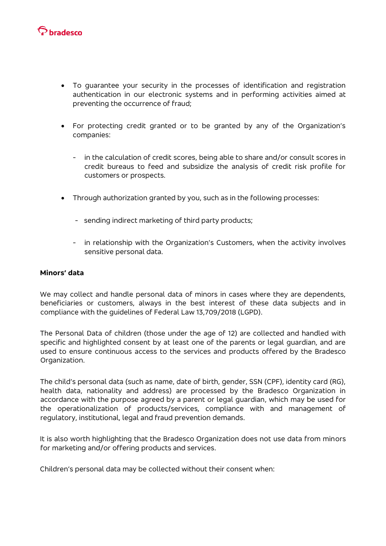

- To guarantee your security in the processes of identification and registration authentication in our electronic systems and in performing activities aimed at preventing the occurrence of fraud;
- For protecting credit granted or to be granted by any of the Organization's companies:
	- in the calculation of credit scores, being able to share and/or consult scores in credit bureaus to feed and subsidize the analysis of credit risk profile for customers or prospects.
- Through authorization granted by you, such as in the following processes:
	- sending indirect marketing of third party products;
	- in relationship with the Organization's Customers, when the activity involves sensitive personal data.

## **Minors' data**

We may collect and handle personal data of minors in cases where they are dependents, beneficiaries or customers, always in the best interest of these data subjects and in compliance with the guidelines of Federal Law 13,709/2018 (LGPD).

The Personal Data of children (those under the age of 12) are collected and handled with specific and highlighted consent by at least one of the parents or legal guardian, and are used to ensure continuous access to the services and products offered by the Bradesco Organization.

The child's personal data (such as name, date of birth, gender, SSN (CPF), identity card (RG), health data, nationality and address) are processed by the Bradesco Organization in accordance with the purpose agreed by a parent or legal guardian, which may be used for the operationalization of products/services, compliance with and management of regulatory, institutional, legal and fraud prevention demands.

It is also worth highlighting that the Bradesco Organization does not use data from minors for marketing and/or offering products and services.

Children's personal data may be collected without their consent when: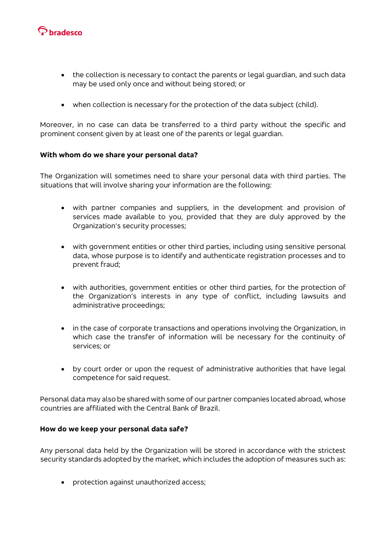

- the collection is necessary to contact the parents or legal guardian, and such data may be used only once and without being stored; or
- when collection is necessary for the protection of the data subject (child).

Moreover, in no case can data be transferred to a third party without the specific and prominent consent given by at least one of the parents or legal guardian.

### **With whom do we share your personal data?**

The Organization will sometimes need to share your personal data with third parties. The situations that will involve sharing your information are the following:

- with partner companies and suppliers, in the development and provision of services made available to you, provided that they are duly approved by the Organization's security processes;
- with government entities or other third parties, including using sensitive personal data, whose purpose is to identify and authenticate registration processes and to prevent fraud;
- with authorities, government entities or other third parties, for the protection of the Organization's interests in any type of conflict, including lawsuits and administrative proceedings;
- in the case of corporate transactions and operations involving the Organization, in which case the transfer of information will be necessary for the continuity of services; or
- by court order or upon the request of administrative authorities that have legal competence for said request.

Personal data may also be shared with some of our partner companies located abroad, whose countries are affiliated with the Central Bank of Brazil.

### **How do we keep your personal data safe?**

Any personal data held by the Organization will be stored in accordance with the strictest security standards adopted by the market, which includes the adoption of measures such as:

• protection against unauthorized access;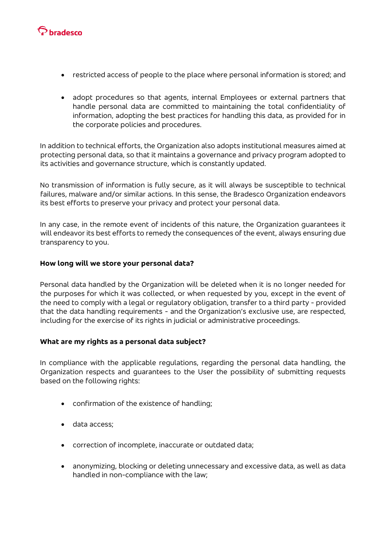

- restricted access of people to the place where personal information is stored; and
- adopt procedures so that agents, internal Employees or external partners that handle personal data are committed to maintaining the total confidentiality of information, adopting the best practices for handling this data, as provided for in the corporate policies and procedures.

In addition to technical efforts, the Organization also adopts institutional measures aimed at protecting personal data, so that it maintains a governance and privacy program adopted to its activities and governance structure, which is constantly updated.

No transmission of information is fully secure, as it will always be susceptible to technical failures, malware and/or similar actions. In this sense, the Bradesco Organization endeavors its best efforts to preserve your privacy and protect your personal data.

In any case, in the remote event of incidents of this nature, the Organization guarantees it will endeavor its best efforts to remedy the consequences of the event, always ensuring due transparency to you.

### **How long will we store your personal data?**

Personal data handled by the Organization will be deleted when it is no longer needed for the purposes for which it was collected, or when requested by you, except in the event of the need to comply with a legal or regulatory obligation, transfer to a third party - provided that the data handling requirements - and the Organization's exclusive use, are respected, including for the exercise of its rights in judicial or administrative proceedings.

### **What are my rights as a personal data subject?**

In compliance with the applicable regulations, regarding the personal data handling, the Organization respects and guarantees to the User the possibility of submitting requests based on the following rights:

- confirmation of the existence of handling;
- data access;
- correction of incomplete, inaccurate or outdated data;
- anonymizing, blocking or deleting unnecessary and excessive data, as well as data handled in non-compliance with the law;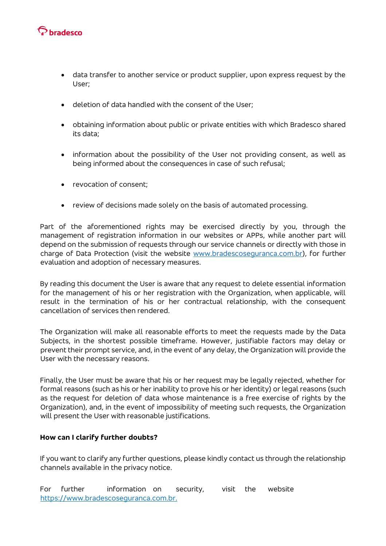

- data transfer to another service or product supplier, upon express request by the User;
- deletion of data handled with the consent of the User;
- obtaining information about public or private entities with which Bradesco shared its data;
- information about the possibility of the User not providing consent, as well as being informed about the consequences in case of such refusal;
- revocation of consent;
- review of decisions made solely on the basis of automated processing.

Part of the aforementioned rights may be exercised directly by you, through the management of registration information in our websites or APPs, while another part will depend on the submission of requests through our service channels or directly with those in charge of Data Protection (visit the website [www.bradescoseguranca.com.br\)](https://www.bradescoseguranca.com.br/html/seguranca_corporativa/pf/index.shtm), for further evaluation and adoption of necessary measures.

By reading this document the User is aware that any request to delete essential information for the management of his or her registration with the Organization, when applicable, will result in the termination of his or her contractual relationship, with the consequent cancellation of services then rendered.

The Organization will make all reasonable efforts to meet the requests made by the Data Subjects, in the shortest possible timeframe. However, justifiable factors may delay or prevent their prompt service, and, in the event of any delay, the Organization will provide the User with the necessary reasons.

Finally, the User must be aware that his or her request may be legally rejected, whether for formal reasons (such as his or her inability to prove his or her identity) or legal reasons (such as the request for deletion of data whose maintenance is a free exercise of rights by the Organization), and, in the event of impossibility of meeting such requests, the Organization will present the User with reasonable justifications.

### **How can I clarify further doubts?**

If you want to clarify any further questions, please kindly contact us through the relationship channels available in the privacy notice.

For further information on security, visit the website [https://www.bradescoseguranca.com.br.](https://www.bradescoseguranca.com.br/)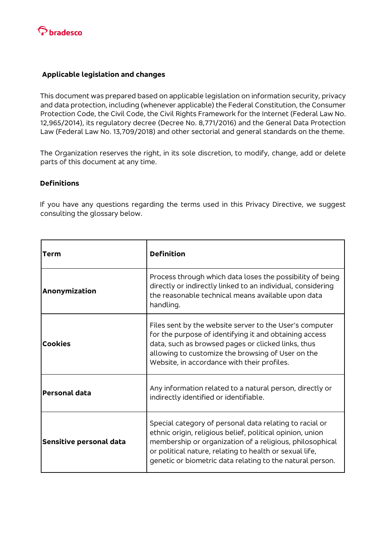

## **Applicable legislation and changes**

This document was prepared based on applicable legislation on information security, privacy and data protection, including (whenever applicable) the Federal Constitution, the Consumer Protection Code, the Civil Code, the Civil Rights Framework for the Internet (Federal Law No. 12,965/2014), its regulatory decree (Decree No. 8,771/2016) and the General Data Protection Law (Federal Law No. 13,709/2018) and other sectorial and general standards on the theme.

The Organization reserves the right, in its sole discretion, to modify, change, add or delete parts of this document at any time.

## **Definitions**

If you have any questions regarding the terms used in this Privacy Directive, we suggest consulting the glossary below.

| Term                    | <b>Definition</b>                                                                                                                                                                                                                                                                                        |
|-------------------------|----------------------------------------------------------------------------------------------------------------------------------------------------------------------------------------------------------------------------------------------------------------------------------------------------------|
| Anonymization           | Process through which data loses the possibility of being<br>directly or indirectly linked to an individual, considering<br>the reasonable technical means available upon data<br>handling.                                                                                                              |
| <b>Cookies</b>          | Files sent by the website server to the User's computer<br>for the purpose of identifying it and obtaining access<br>data, such as browsed pages or clicked links, thus<br>allowing to customize the browsing of User on the<br>Website, in accordance with their profiles.                              |
| <b>Personal data</b>    | Any information related to a natural person, directly or<br>indirectly identified or identifiable.                                                                                                                                                                                                       |
| Sensitive personal data | Special category of personal data relating to racial or<br>ethnic origin, religious belief, political opinion, union<br>membership or organization of a religious, philosophical<br>or political nature, relating to health or sexual life,<br>genetic or biometric data relating to the natural person. |